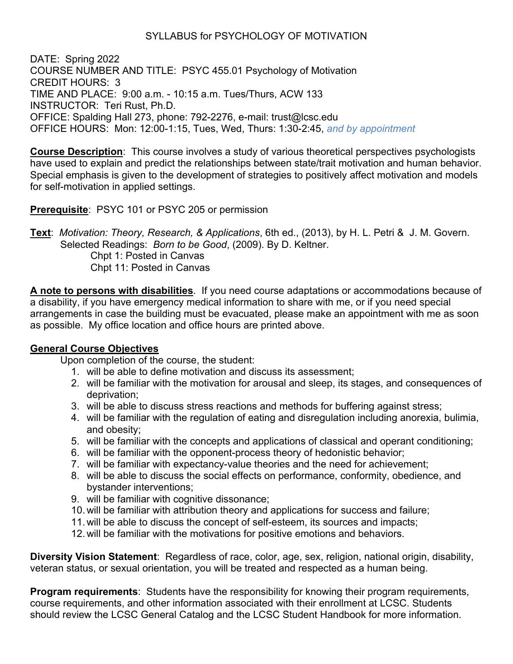## SYLLABUS for PSYCHOLOGY OF MOTIVATION

DATE: Spring 2022 COURSE NUMBER AND TITLE: PSYC 455.01 Psychology of Motivation CREDIT HOURS: 3 TIME AND PLACE: 9:00 a.m. - 10:15 a.m. Tues/Thurs, ACW 133 INSTRUCTOR: Teri Rust, Ph.D. OFFICE: Spalding Hall 273, phone: 792-2276, e-mail: trust@lcsc.edu OFFICE HOURS: Mon: 12:00-1:15, Tues, Wed, Thurs: 1:30-2:45, *and by appointment*

**Course Description**: This course involves a study of various theoretical perspectives psychologists have used to explain and predict the relationships between state/trait motivation and human behavior. Special emphasis is given to the development of strategies to positively affect motivation and models for self-motivation in applied settings.

## **Prerequisite**: PSYC 101 or PSYC 205 or permission

**Text**: *Motivation: Theory, Research, & Applications*, 6th ed., (2013), by H. L. Petri & J. M. Govern. Selected Readings: *Born to be Good*, (2009). By D. Keltner. Chpt 1: Posted in Canvas

Chpt 11: Posted in Canvas

**A note to persons with disabilities**. If you need course adaptations or accommodations because of a disability, if you have emergency medical information to share with me, or if you need special arrangements in case the building must be evacuated, please make an appointment with me as soon as possible. My office location and office hours are printed above.

## **General Course Objectives**

Upon completion of the course, the student:

- 1. will be able to define motivation and discuss its assessment;
- 2. will be familiar with the motivation for arousal and sleep, its stages, and consequences of deprivation;
- 3. will be able to discuss stress reactions and methods for buffering against stress;
- 4. will be familiar with the regulation of eating and disregulation including anorexia, bulimia, and obesity;
- 5. will be familiar with the concepts and applications of classical and operant conditioning;
- 6. will be familiar with the opponent-process theory of hedonistic behavior;
- 7. will be familiar with expectancy-value theories and the need for achievement;
- 8. will be able to discuss the social effects on performance, conformity, obedience, and bystander interventions;
- 9. will be familiar with cognitive dissonance;
- 10. will be familiar with attribution theory and applications for success and failure;
- 11. will be able to discuss the concept of self-esteem, its sources and impacts;
- 12. will be familiar with the motivations for positive emotions and behaviors.

**Diversity Vision Statement**: Regardless of race, color, age, sex, religion, national origin, disability, veteran status, or sexual orientation, you will be treated and respected as a human being.

**Program requirements**: Students have the responsibility for knowing their program requirements, course requirements, and other information associated with their enrollment at LCSC. Students should review the LCSC General Catalog and the LCSC Student Handbook for more information.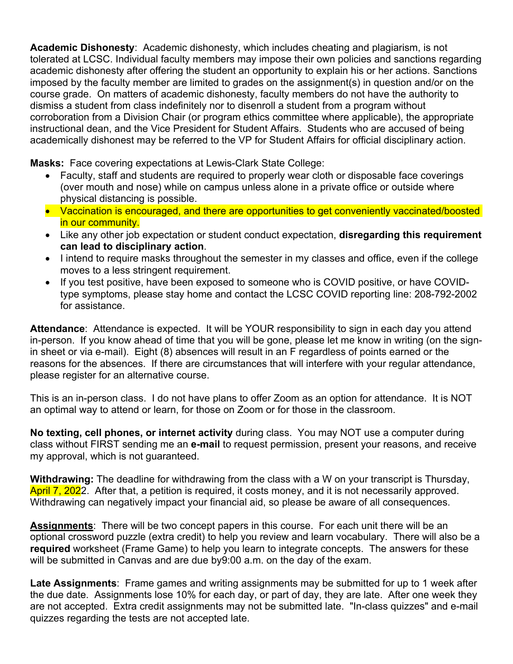**Academic Dishonesty**: Academic dishonesty, which includes cheating and plagiarism, is not tolerated at LCSC. Individual faculty members may impose their own policies and sanctions regarding academic dishonesty after offering the student an opportunity to explain his or her actions. Sanctions imposed by the faculty member are limited to grades on the assignment(s) in question and/or on the course grade. On matters of academic dishonesty, faculty members do not have the authority to dismiss a student from class indefinitely nor to disenroll a student from a program without corroboration from a Division Chair (or program ethics committee where applicable), the appropriate instructional dean, and the Vice President for Student Affairs. Students who are accused of being academically dishonest may be referred to the VP for Student Affairs for official disciplinary action.

**Masks:** Face covering expectations at Lewis-Clark State College:

- Faculty, staff and students are required to properly wear cloth or disposable face coverings (over mouth and nose) while on campus unless alone in a private office or outside where physical distancing is possible.
- Vaccination is encouraged, and there are opportunities to get conveniently vaccinated/boosted in our community.
- Like any other job expectation or student conduct expectation, **disregarding this requirement can lead to disciplinary action**.
- I intend to require masks throughout the semester in my classes and office, even if the college moves to a less stringent requirement.
- If you test positive, have been exposed to someone who is COVID positive, or have COVIDtype symptoms, please stay home and contact the LCSC COVID reporting line: 208-792-2002 for assistance.

**Attendance**: Attendance is expected. It will be YOUR responsibility to sign in each day you attend in-person. If you know ahead of time that you will be gone, please let me know in writing (on the signin sheet or via e-mail). Eight (8) absences will result in an F regardless of points earned or the reasons for the absences. If there are circumstances that will interfere with your regular attendance, please register for an alternative course.

This is an in-person class. I do not have plans to offer Zoom as an option for attendance. It is NOT an optimal way to attend or learn, for those on Zoom or for those in the classroom.

**No texting, cell phones, or internet activity** during class. You may NOT use a computer during class without FIRST sending me an **e-mail** to request permission, present your reasons, and receive my approval, which is not guaranteed.

**Withdrawing:** The deadline for withdrawing from the class with a W on your transcript is Thursday, April 7, 2022. After that, a petition is required, it costs money, and it is not necessarily approved. Withdrawing can negatively impact your financial aid, so please be aware of all consequences.

**Assignments**: There will be two concept papers in this course. For each unit there will be an optional crossword puzzle (extra credit) to help you review and learn vocabulary. There will also be a **required** worksheet (Frame Game) to help you learn to integrate concepts. The answers for these will be submitted in Canvas and are due by9:00 a.m. on the day of the exam.

**Late Assignments**: Frame games and writing assignments may be submitted for up to 1 week after the due date. Assignments lose 10% for each day, or part of day, they are late. After one week they are not accepted. Extra credit assignments may not be submitted late. "In-class quizzes" and e-mail quizzes regarding the tests are not accepted late.